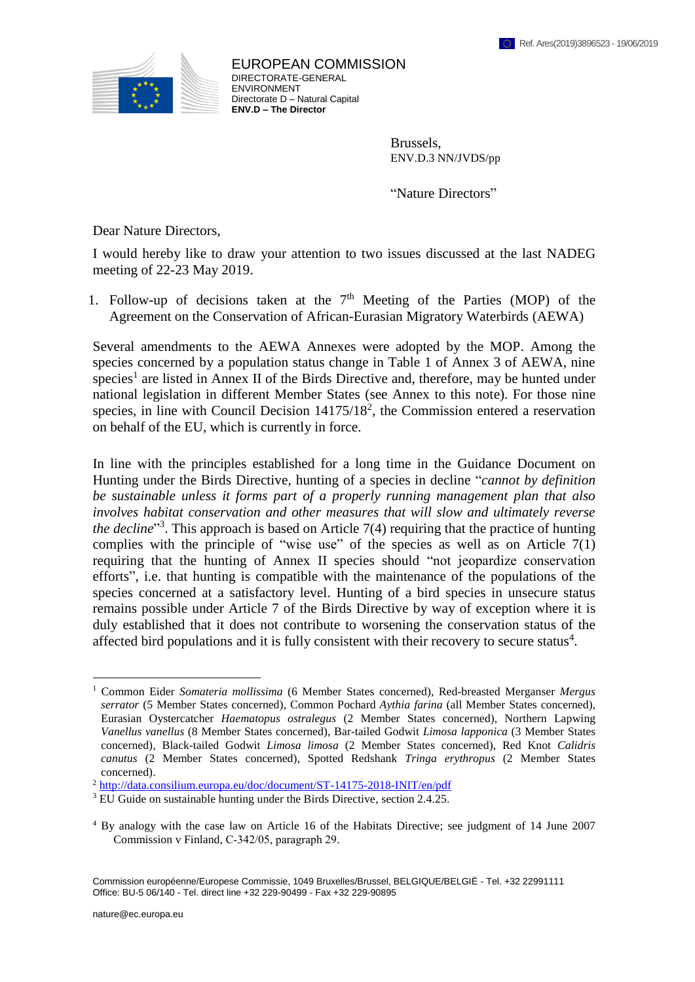

## EUROPEAN COMMISSION DIRECTORATE-GENERAL ENVIRONMENT Directorate D – Natural Capital **ENV.D – The Director**

Brussels, ENV.D.3 NN/JVDS/pp

"Nature Directors"

Dear Nature Directors,

I would hereby like to draw your attention to two issues discussed at the last NADEG meeting of 22-23 May 2019.

1. Follow-up of decisions taken at the  $7<sup>th</sup>$  Meeting of the Parties (MOP) of the Agreement on the Conservation of African-Eurasian Migratory Waterbirds (AEWA)

Several amendments to the AEWA Annexes were adopted by the MOP. Among the species concerned by a population status change in Table 1 of Annex 3 of AEWA, nine species<sup>1</sup> are listed in Annex II of the Birds Directive and, therefore, may be hunted under national legislation in different Member States (see Annex to this note). For those nine species, in line with Council Decision  $14175/18^2$ , the Commission entered a reservation on behalf of the EU, which is currently in force.

In line with the principles established for a long time in the Guidance Document on Hunting under the Birds Directive, hunting of a species in decline "*cannot by definition be sustainable unless it forms part of a properly running management plan that also involves habitat conservation and other measures that will slow and ultimately reverse*  the decline<sup>33</sup>. This approach is based on Article 7(4) requiring that the practice of hunting complies with the principle of "wise use" of the species as well as on Article 7(1) requiring that the hunting of Annex II species should "not jeopardize conservation efforts", i.e. that hunting is compatible with the maintenance of the populations of the species concerned at a satisfactory level. Hunting of a bird species in unsecure status remains possible under Article 7 of the Birds Directive by way of exception where it is duly established that it does not contribute to worsening the conservation status of the affected bird populations and it is fully consistent with their recovery to secure status $4$ .

1

<sup>1</sup> Common Eider *Somateria mollissima* (6 Member States concerned), Red-breasted Merganser *Mergus serrator* (5 Member States concerned), Common Pochard *Aythia farina* (all Member States concerned), Eurasian Oystercatcher *Haematopus ostralegus* (2 Member States concerned), Northern Lapwing *Vanellus vanellus* (8 Member States concerned), Bar-tailed Godwit *Limosa lapponica* (3 Member States concerned), Black-tailed Godwit *Limosa limosa* (2 Member States concerned), Red Knot *Calidris canutus* (2 Member States concerned), Spotted Redshank *Tringa erythropus* (2 Member States concerned).

<sup>2</sup> <http://data.consilium.europa.eu/doc/document/ST-14175-2018-INIT/en/pdf>

<sup>&</sup>lt;sup>3</sup> EU Guide on sustainable hunting under the Birds Directive, section 2.4.25.

<sup>4</sup> By analogy with the case law on Article 16 of the Habitats Directive; see judgment of 14 June 2007 Commission v Finland, C‑342/05, paragraph 29.

Commission européenne/Europese Commissie, 1049 Bruxelles/Brussel, BELGIQUE/BELGIË - Tel. +32 22991111 Office: BU-5 06/140 - Tel. direct line +32 229-90499 - Fax +32 229-90895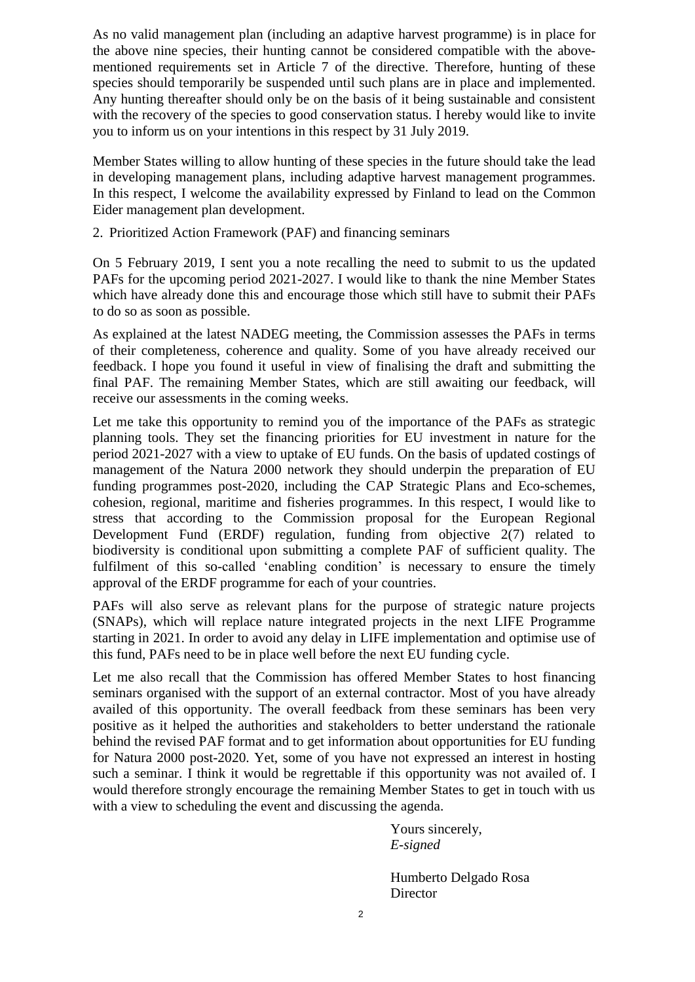As no valid management plan (including an adaptive harvest programme) is in place for the above nine species, their hunting cannot be considered compatible with the abovementioned requirements set in Article 7 of the directive. Therefore, hunting of these species should temporarily be suspended until such plans are in place and implemented. Any hunting thereafter should only be on the basis of it being sustainable and consistent with the recovery of the species to good conservation status. I hereby would like to invite you to inform us on your intentions in this respect by 31 July 2019.

Member States willing to allow hunting of these species in the future should take the lead in developing management plans, including adaptive harvest management programmes. In this respect, I welcome the availability expressed by Finland to lead on the Common Eider management plan development.

2. Prioritized Action Framework (PAF) and financing seminars

On 5 February 2019, I sent you a note recalling the need to submit to us the updated PAFs for the upcoming period 2021-2027. I would like to thank the nine Member States which have already done this and encourage those which still have to submit their PAFs to do so as soon as possible.

As explained at the latest NADEG meeting, the Commission assesses the PAFs in terms of their completeness, coherence and quality. Some of you have already received our feedback. I hope you found it useful in view of finalising the draft and submitting the final PAF. The remaining Member States, which are still awaiting our feedback, will receive our assessments in the coming weeks.

Let me take this opportunity to remind you of the importance of the PAFs as strategic planning tools. They set the financing priorities for EU investment in nature for the period 2021-2027 with a view to uptake of EU funds. On the basis of updated costings of management of the Natura 2000 network they should underpin the preparation of EU funding programmes post-2020, including the CAP Strategic Plans and Eco-schemes, cohesion, regional, maritime and fisheries programmes. In this respect, I would like to stress that according to the Commission proposal for the European Regional Development Fund (ERDF) regulation, funding from objective 2(7) related to biodiversity is conditional upon submitting a complete PAF of sufficient quality. The fulfilment of this so-called 'enabling condition' is necessary to ensure the timely approval of the ERDF programme for each of your countries.

PAFs will also serve as relevant plans for the purpose of strategic nature projects (SNAPs), which will replace nature integrated projects in the next LIFE Programme starting in 2021. In order to avoid any delay in LIFE implementation and optimise use of this fund, PAFs need to be in place well before the next EU funding cycle.

Let me also recall that the Commission has offered Member States to host financing seminars organised with the support of an external contractor. Most of you have already availed of this opportunity. The overall feedback from these seminars has been very positive as it helped the authorities and stakeholders to better understand the rationale behind the revised PAF format and to get information about opportunities for EU funding for Natura 2000 post-2020. Yet, some of you have not expressed an interest in hosting such a seminar. I think it would be regrettable if this opportunity was not availed of. I would therefore strongly encourage the remaining Member States to get in touch with us with a view to scheduling the event and discussing the agenda.

> Yours sincerely, *E-signed*

Humberto Delgado Rosa **Director**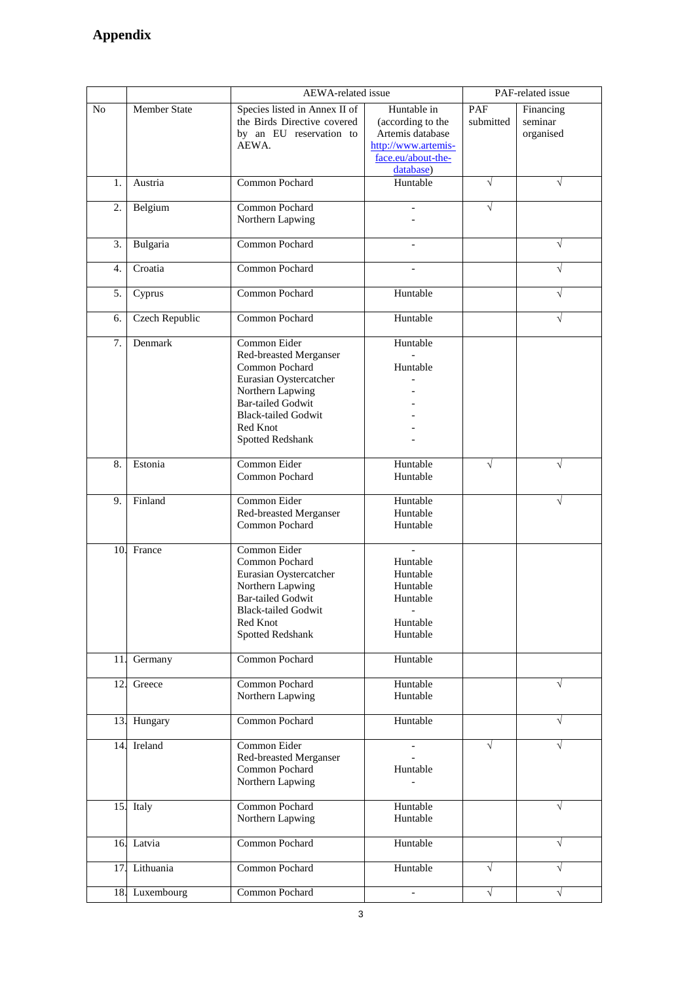## **Appendix**

|     |                       | <b>AEWA-related</b> issue                    |                     | PAF-related issue |           |
|-----|-----------------------|----------------------------------------------|---------------------|-------------------|-----------|
| No  | Member State          | Species listed in Annex II of                | Huntable in         | PAF               | Financing |
|     |                       | the Birds Directive covered                  | (according to the   | submitted         | seminar   |
|     |                       | by an EU reservation to                      | Artemis database    |                   | organised |
|     |                       | AEWA.                                        | http://www.artemis- |                   |           |
|     |                       |                                              | face.eu/about-the-  |                   |           |
|     |                       |                                              | database)           |                   |           |
| 1.  | Austria               | Common Pochard                               | Huntable            | $\sqrt{ }$        | V         |
|     |                       |                                              |                     |                   |           |
| 2.  | Belgium               | Common Pochard                               |                     | V                 |           |
|     |                       | Northern Lapwing                             |                     |                   |           |
|     |                       |                                              |                     |                   |           |
| 3.  | Bulgaria              | Common Pochard                               |                     |                   | $\sqrt{}$ |
|     |                       |                                              |                     |                   |           |
| 4.  | Croatia               | Common Pochard                               |                     |                   | $\sqrt{}$ |
|     |                       |                                              |                     |                   |           |
| 5.  | Cyprus                | Common Pochard                               | Huntable            |                   | $\sqrt{}$ |
|     |                       |                                              |                     |                   |           |
| 6.  | <b>Czech Republic</b> | Common Pochard                               | Huntable            |                   | V         |
|     |                       |                                              |                     |                   |           |
| 7.  | Denmark               | Common Eider                                 | Huntable            |                   |           |
|     |                       | Red-breasted Merganser<br>Common Pochard     | Huntable            |                   |           |
|     |                       | Eurasian Oystercatcher                       |                     |                   |           |
|     |                       |                                              |                     |                   |           |
|     |                       | Northern Lapwing<br><b>Bar-tailed Godwit</b> |                     |                   |           |
|     |                       | <b>Black-tailed Godwit</b>                   |                     |                   |           |
|     |                       | Red Knot                                     |                     |                   |           |
|     |                       | Spotted Redshank                             |                     |                   |           |
|     |                       |                                              |                     |                   |           |
| 8.  | Estonia               | Common Eider                                 | Huntable            | $\sqrt{}$         | V         |
|     |                       | Common Pochard                               | Huntable            |                   |           |
|     |                       |                                              |                     |                   |           |
| 9.  | Finland               | Common Eider                                 | Huntable            |                   | V         |
|     |                       | Red-breasted Merganser                       | Huntable            |                   |           |
|     |                       | Common Pochard                               | Huntable            |                   |           |
|     |                       |                                              |                     |                   |           |
| 10. | France                | Common Eider                                 |                     |                   |           |
|     |                       | Common Pochard                               | Huntable            |                   |           |
|     |                       | Eurasian Oystercatcher                       | Huntable            |                   |           |
|     |                       | Northern Lapwing                             | Huntable            |                   |           |
|     |                       | <b>Bar-tailed Godwit</b>                     | Huntable            |                   |           |
|     |                       | <b>Black-tailed Godwit</b>                   | $\qquad \qquad -$   |                   |           |
|     |                       | Red Knot                                     | Huntable            |                   |           |
|     |                       | <b>Spotted Redshank</b>                      | Huntable            |                   |           |
|     |                       |                                              |                     |                   |           |
| 11. | Germany               | Common Pochard                               | Huntable            |                   |           |
| 12. |                       | Common Pochard                               | Huntable            |                   | $\sqrt{}$ |
|     | Greece                |                                              | Huntable            |                   |           |
|     |                       | Northern Lapwing                             |                     |                   |           |
| 13. | Hungary               | Common Pochard                               | Huntable            |                   | $\sqrt{}$ |
|     |                       |                                              |                     |                   |           |
| 14. | Ireland               | Common Eider                                 |                     | J                 | V         |
|     |                       | Red-breasted Merganser                       |                     |                   |           |
|     |                       | Common Pochard                               | Huntable            |                   |           |
|     |                       | Northern Lapwing                             |                     |                   |           |
|     |                       |                                              |                     |                   |           |
| 15. | Italy                 | Common Pochard                               | Huntable            |                   | $\sqrt{}$ |
|     |                       | Northern Lapwing                             | Huntable            |                   |           |
|     |                       |                                              |                     |                   |           |
|     | 16. Latvia            | Common Pochard                               | Huntable            |                   | V         |
|     |                       |                                              |                     |                   |           |
| 17. | Lithuania             | Common Pochard                               | Huntable            | $\sqrt{}$         | V         |
|     |                       |                                              |                     |                   |           |
| 18. | Luxembourg            | Common Pochard                               |                     | $\sqrt{}$         | $\sqrt{}$ |